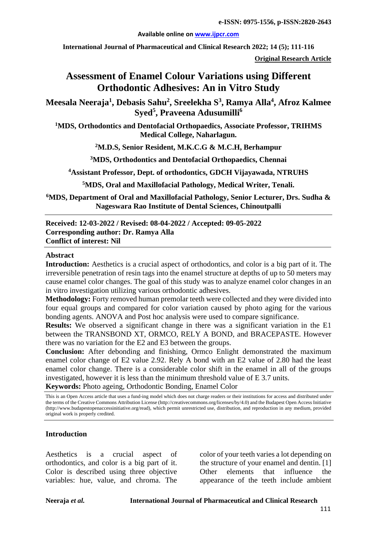#### **Available online on [www.ijpcr.com](http://www.ijpcr.com/)**

**International Journal of Pharmaceutical and Clinical Research 2022; 14 (5); 111-116**

**Original Research Article**

# **Assessment of Enamel Colour Variations using Different Orthodontic Adhesives: An in Vitro Study**

**Meesala Neeraja<sup>1</sup> , Debasis Sahu2 , Sreelekha S<sup>3</sup> , Ramya Alla4 , Afroz Kalmee**   $\mathbf{S}\mathbf{y}\mathbf{e}\mathbf{d}^{\mathbf{5}},$  Praveena Adusumilli $^6$ 

**1 MDS, Orthodontics and Dentofacial Orthopaedics, Associate Professor, TRIHMS Medical College, Naharlagun.**

**2 M.D.S, Senior Resident, M.K.C.G & M.C.H, Berhampur**

**3 MDS, Orthodontics and Dentofacial Orthopaedics, Chennai**

**4 Assistant Professor, Dept. of orthodontics, GDCH Vijayawada, NTRUHS**

**5MDS, Oral and Maxillofacial Pathology, Medical Writer, Tenali.** 

**6 MDS, Department of Oral and Maxillofacial Pathology, Senior Lecturer, Drs. Sudha & Nageswara Rao Institute of Dental Sciences, Chinoutpalli**

#### **Received: 12-03-2022 / Revised: 08-04-2022 / Accepted: 09-05-2022 Corresponding author: Dr. Ramya Alla Conflict of interest: Nil**

#### **Abstract**

**Introduction:** Aesthetics is a crucial aspect of orthodontics, and color is a big part of it. The irreversible penetration of resin tags into the enamel structure at depths of up to 50 meters may cause enamel color changes. The goal of this study was to analyze enamel color changes in an in vitro investigation utilizing various orthodontic adhesives.

**Methodology:** Forty removed human premolar teeth were collected and they were divided into four equal groups and compared for color variation caused by photo aging for the various bonding agents. ANOVA and Post hoc analysis were used to compare significance.

**Results:** We observed a significant change in there was a significant variation in the E1 between the TRANSBOND XT, ORMCO, RELY A BOND, and BRACEPASTE. However there was no variation for the E2 and E3 between the groups.

**Conclusion:** After debonding and finishing, Ormco Enlight demonstrated the maximum enamel color change of E2 value 2.92. Rely A bond with an E2 value of 2.80 had the least enamel color change. There is a considerable color shift in the enamel in all of the groups investigated, however it is less than the minimum threshold value of E 3.7 units.

**Keywords:** Photo ageing, Orthodontic Bonding, Enamel Color

This is an Open Access article that uses a fund-ing model which does not charge readers or their institutions for access and distributed under the terms of the Creative Commons Attribution License (http://creativecommons.org/licenses/by/4.0) and the Budapest Open Access Initiative (http://www.budapestopenaccessinitiative.org/read), which permit unrestricted use, distribution, and reproduction in any medium, provided original work is properly credited.

### **Introduction**

Aesthetics is a crucial aspect of orthodontics, and color is a big part of it. Color is described using three objective variables: hue, value, and chroma. The

color of your teeth varies a lot depending on the structure of your enamel and dentin. [1] Other elements that influence the appearance of the teeth include ambient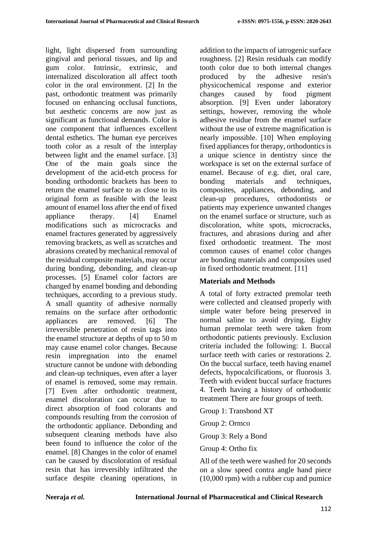light, light dispersed from surrounding gingival and perioral tissues, and lip and gum color. Intrinsic, extrinsic, and internalized discoloration all affect tooth color in the oral environment. [2] In the past, orthodontic treatment was primarily focused on enhancing occlusal functions, but aesthetic concerns are now just as significant as functional demands. Color is one component that influences excellent dental esthetics. The human eye perceives tooth color as a result of the interplay between light and the enamel surface. [3] One of the main goals since the development of the acid-etch process for bonding orthodontic brackets has been to return the enamel surface to as close to its original form as feasible with the least amount of enamel loss after the end of fixed appliance therapy. [4] Enamel modifications such as microcracks and enamel fractures generated by aggressively removing brackets, as well as scratches and abrasions created by mechanical removal of the residual composite materials, may occur during bonding, debonding, and clean-up processes. [5] Enamel color factors are changed by enamel bonding and debonding techniques, according to a previous study. A small quantity of adhesive normally remains on the surface after orthodontic appliances are removed. [6] The irreversible penetration of resin tags into the enamel structure at depths of up to 50 m may cause enamel color changes. Because resin impregnation into the enamel structure cannot be undone with debonding and clean-up techniques, even after a layer of enamel is removed, some may remain. [7] Even after orthodontic treatment, enamel discoloration can occur due to direct absorption of food colorants and compounds resulting from the corrosion of the orthodontic appliance. Debonding and subsequent cleaning methods have also been found to influence the color of the enamel. [8] Changes in the color of enamel can be caused by discoloration of residual resin that has irreversibly infiltrated the surface despite cleaning operations, in

addition to the impacts of iatrogenic surface roughness. [2] Resin residuals can modify tooth color due to both internal changes produced by the adhesive resin's physicochemical response and exterior changes caused by food pigment absorption. [9] Even under laboratory settings, however, removing the whole adhesive residue from the enamel surface without the use of extreme magnification is nearly impossible. [10] When employing fixed appliances for therapy, orthodontics is a unique science in dentistry since the workspace is set on the external surface of enamel. Because of e.g. diet, oral care, bonding materials and techniques, composites, appliances, debonding, and clean-up procedures, orthodontists or patients may experience unwanted changes on the enamel surface or structure, such as discoloration, white spots, microcracks, fractures, and abrasions during and after fixed orthodontic treatment. The most common causes of enamel color changes are bonding materials and composites used in fixed orthodontic treatment. [11]

### **Materials and Methods**

A total of forty extracted premolar teeth were collected and cleansed properly with simple water before being preserved in normal saline to avoid drying. Eighty human premolar teeth were taken from orthodontic patients previously. Exclusion criteria included the following: 1. Buccal surface teeth with caries or restorations 2. On the buccal surface, teeth having enamel defects, hypocalcifications, or fluorosis 3. Teeth with evident buccal surface fractures 4. Teeth having a history of orthodontic treatment There are four groups of teeth.

Group 1: Transbond XT

Group 2: Ormco

Group 3: Rely a Bond

Group 4: Ortho fix

All of the teeth were washed for 20 seconds on a slow speed contra angle hand piece (10,000 rpm) with a rubber cup and pumice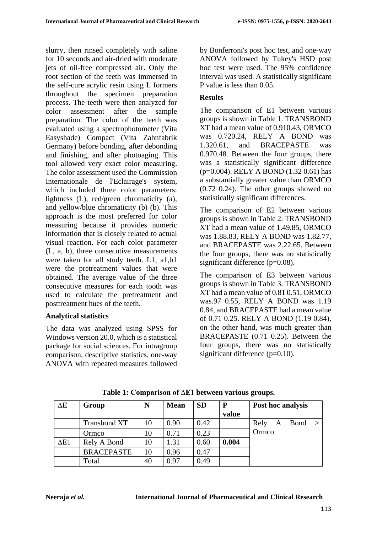slurry, then rinsed completely with saline for 10 seconds and air-dried with moderate jets of oil-free compressed air. Only the root section of the teeth was immersed in the self-cure acrylic resin using L formers throughout the specimen preparation process. The teeth were then analyzed for color assessment after the sample preparation. The color of the teeth was evaluated using a spectrophotometer (Vita Easyshade) Compact (Vita Zahnfabrik Germany) before bonding, after debonding and finishing, and after photoaging. This tool allowed very exact color measuring. The color assessment used the Commission Internationale de l'Eclairage's system, which included three color parameters: lightness (L), red/green chromaticity (a), and yellow/blue chromaticity (b) (b). This approach is the most preferred for color measuring because it provides numeric information that is closely related to actual visual reaction. For each color parameter (L, a, b), three consecutive measurements were taken for all study teeth. L1, a1,b1 were the pretreatment values that were obtained. The average value of the three consecutive measures for each tooth was used to calculate the pretreatment and posttreatment hues of the teeth.

## **Analytical statistics**

The data was analyzed using SPSS for Windows version 20.0, which is a statistical package for social sciences. For intragroup comparison, descriptive statistics, one-way ANOVA with repeated measures followed

by Bonferroni's post hoc test, and one-way ANOVA followed by Tukey's HSD post hoc test were used. The 95% confidence interval was used. A statistically significant P value is less than 0.05.

## **Results**

The comparison of E1 between various groups is shown in Table 1. TRANSBOND XT had a mean value of 0.910.43, ORMCO was 0.720.24, RELY A BOND was 1.320.61, and BRACEPASTE was 0.970.48. Between the four groups, there was a statistically significant difference (p=0.004). RELY A BOND (1.32 0.61) has a substantially greater value than ORMCO (0.72 0.24). The other groups showed no statistically significant differences.

The comparison of E2 between various groups is shown in Table 2. TRANSBOND XT had a mean value of 1.49.85, ORMCO was 1.88.83, RELY A BOND was 1.82.77, and BRACEPASTE was 2.22.65. Between the four groups, there was no statistically significant difference (p=0.08).

The comparison of E3 between various groups is shown in Table 3. TRANSBOND XT had a mean value of 0.81 0.51, ORMCO was.97 0.55, RELY A BOND was 1.19 0.84, and BRACEPASTE had a mean value of 0.71 0.25. RELY A BOND (1.19 0.84), on the other hand, was much greater than BRACEPASTE (0.71 0.25). Between the four groups, there was no statistically significant difference (p=0.10).

| $\Delta E$  | Group               | N  | <b>Mean</b> | <b>SD</b> | P     | Post hoc analysis |   |        |  |
|-------------|---------------------|----|-------------|-----------|-------|-------------------|---|--------|--|
|             |                     |    |             |           | value |                   |   |        |  |
|             | <b>Transbond XT</b> | 10 | 0.90        | 0.42      |       | Rely              | A | Bond > |  |
|             | Ormco               | 10 | 0.71        | 0.23      |       | Ormco             |   |        |  |
| $\Delta E1$ | Rely A Bond         | 10 | 1.31        | 0.60      | 0.004 |                   |   |        |  |
|             | <b>BRACEPASTE</b>   | 10 | 0.96        | 0.47      |       |                   |   |        |  |
|             | Total               | 40 | 0.97        | 0.49      |       |                   |   |        |  |

**Table 1: Comparison of ∆E1 between various groups.**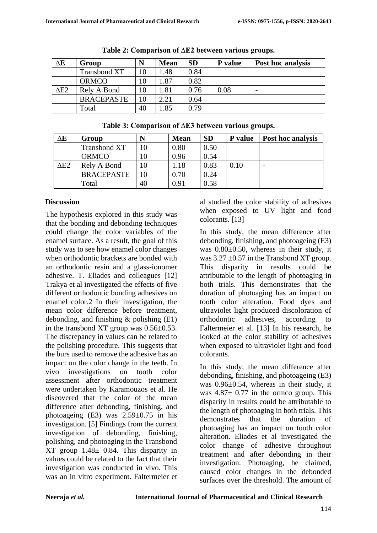| $\Delta E$  | Group               | N  | <b>Mean</b> | <b>SD</b> | P value | Post hoc analysis |
|-------------|---------------------|----|-------------|-----------|---------|-------------------|
|             | <b>Transbond XT</b> | 10 | 1.48        | 0.84      |         |                   |
|             | <b>ORMCO</b>        | 10 | 1.87        | 0.82      |         |                   |
| $\Delta$ E2 | Rely A Bond         | 10 | 1.81        | 0.76      | 0.08    |                   |
|             | <b>BRACEPASTE</b>   | 10 | 2.21        | 0.64      |         |                   |
|             | Total               | 40 | 1.85        | 0.79      |         |                   |

**Table 2: Comparison of ∆E2 between various groups.**

| $\Delta E$  | Group               | N  | <b>Mean</b> | <b>SD</b> | <b>P</b> value | <b>Post hoc analysis</b> |
|-------------|---------------------|----|-------------|-----------|----------------|--------------------------|
|             | <b>Transbond XT</b> | 10 | 0.80        | 0.50      |                |                          |
|             | <b>ORMCO</b>        | 10 | 0.96        | 0.54      |                |                          |
| $\Delta$ E2 | Rely A Bond         | 10 | 1.18        | 0.83      | 0.10           | $\overline{\phantom{0}}$ |
|             | <b>BRACEPASTE</b>   | 10 | 0.70        | 0.24      |                |                          |
|             | Total               | 40 | 0.91        | 0.58      |                |                          |

# **Table 3: Comparison of ∆E3 between various groups.**

## **Discussion**

The hypothesis explored in this study was that the bonding and debonding techniques could change the color variables of the enamel surface. As a result, the goal of this study was to see how enamel color changes when orthodontic brackets are bonded with an orthodontic resin and a glass-ionomer adhesive. T. Eliades and colleagues [12] Trakya et al investigated the effects of five different orthodontic bonding adhesives on enamel color.2 In their investigation, the mean color difference before treatment, debonding, and finishing & polishing (E1) in the transbond XT group was 0.56±0.53. The discrepancy in values can be related to the polishing procedure. This suggests that the burs used to remove the adhesive has an impact on the color change in the teeth. In vivo investigations on tooth color assessment after orthodontic treatment were undertaken by Karamouzos et al. He discovered that the color of the mean difference after debonding, finishing, and photoageing  $(E3)$  was  $2.59\pm0.75$  in his investigation. [5] Findings from the current investigation of debonding, finishing, polishing, and photoaging in the Transbond XT group 1.48± 0.84. This disparity in values could be related to the fact that their investigation was conducted in vivo. This was an in vitro experiment. Faltermeier et al studied the color stability of adhesives when exposed to UV light and food colorants. [13]

In this study, the mean difference after debonding, finishing, and photoageing (E3) was 0.80±0.50, whereas in their study, it was  $3.27 \pm 0.57$  in the Transbond XT group. This disparity in results could be attributable to the length of photoaging in both trials. This demonstrates that the duration of photoaging has an impact on tooth color alteration. Food dyes and ultraviolet light produced discoloration of orthodontic adhesives, according to Faltermeier et al. [13] In his research, he looked at the color stability of adhesives when exposed to ultraviolet light and food colorants.

In this study, the mean difference after debonding, finishing, and photoageing (E3) was 0.96±0.54, whereas in their study, it was  $4.87 \pm 0.77$  in the ormco group. This disparity in results could be attributable to the length of photoaging in both trials. This demonstrates that the duration of photoaging has an impact on tooth color alteration. Eliades et al investigated the color change of adhesive throughout treatment and after debonding in their investigation. Photoaging, he claimed, caused color changes in the debonded surfaces over the threshold. The amount of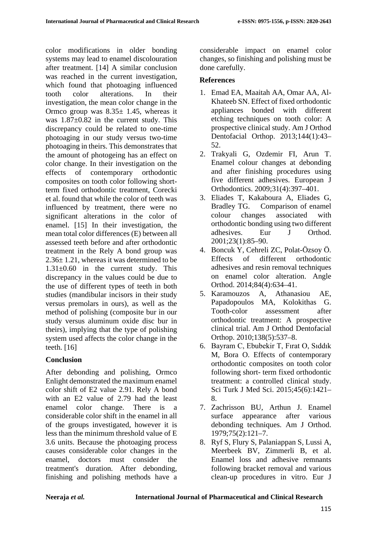color modifications in older bonding systems may lead to enamel discolouration after treatment. [14] A similar conclusion was reached in the current investigation, which found that photoaging influenced tooth color alterations. In their investigation, the mean color change in the Ormco group was  $8.35 \pm 1.45$ , whereas it was  $1.87\pm0.82$  in the current study. This discrepancy could be related to one-time photoaging in our study versus two-time photoaging in theirs. This demonstrates that the amount of photogeing has an effect on color change. In their investigation on the effects of contemporary orthodontic composites on tooth color following shortterm fixed orthodontic treatment, Corecki et al. found that while the color of teeth was influenced by treatment, there were no significant alterations in the color of enamel. [15] In their investigation, the mean total color differences (E) between all assessed teeth before and after orthodontic treatment in the Rely A bond group was 2.36± 1.21, whereas it was determined to be  $1.31\pm0.60$  in the current study. This discrepancy in the values could be due to the use of different types of teeth in both studies (mandibular incisors in their study versus premolars in ours), as well as the method of polishing (composite bur in our study versus aluminum oxide disc bur in theirs), implying that the type of polishing system used affects the color change in the teeth. [16]

## **Conclusion**

After debonding and polishing, Ormco Enlight demonstrated the maximum enamel color shift of E2 value 2.91. Rely A bond with an E2 value of 2.79 had the least enamel color change. There is a considerable color shift in the enamel in all of the groups investigated, however it is less than the minimum threshold value of E 3.6 units. Because the photoaging process causes considerable color changes in the enamel, doctors must consider the treatment's duration. After debonding, finishing and polishing methods have a considerable impact on enamel color changes, so finishing and polishing must be done carefully.

## **References**

- 1. Emad EA, Maaitah AA, Omar AA, Al-Khateeb SN. Effect of fixed orthodontic appliances bonded with different etching techniques on tooth color: A prospective clinical study. Am J Orthod Dentofacial Orthop. 2013;144(1):43– 52.
- 2. Trakyali G, Ozdemir FI, Arun T. Enamel colour changes at debonding and after finishing procedures using five different adhesives. European J Orthodontics. 2009;31(4):397–401.
- 3. Eliades T, Kakaboura A, Eliades G, Bradley TG. Comparison of enamel colour changes associated with orthodontic bonding using two different adhesives. Eur J Orthod. 2001;23(1):85–90.
- 4. Boncuk Y, Cehreli ZC, Polat-Özsoy Ö. Effects of different orthodontic adhesives and resin removal techniques on enamel color alteration. Angle Orthod. 2014;84(4):634–41.
- 5. Karamouzos A, Athanasiou AE, Papadopoulos MA, Kolokithas G. Tooth-color assessment after orthodontic treatment: A prospective clinical trial. Am J Orthod Dentofacial Orthop. 2010;138(5):537–8.
- 6. Bayram C, Ebubekir T, Fırat O, Sıddık M, Bora O. Effects of contemporary orthodontic composites on tooth color following short- term fixed orthodontic treatment: a controlled clinical study. Sci Turk J Med Sci. 2015;45(6):1421– 8.
- 7. Zachrisson BU, Arthun J. Enamel surface appearance after various debonding techniques. Am J Orthod. 1979;75(2):121–7.
- 8. Ryf S, Flury S, Palaniappan S, Lussi A, Meerbeek BV, Zimmerli B, et al. Enamel loss and adhesive remnants following bracket removal and various clean-up procedures in vitro. Eur J